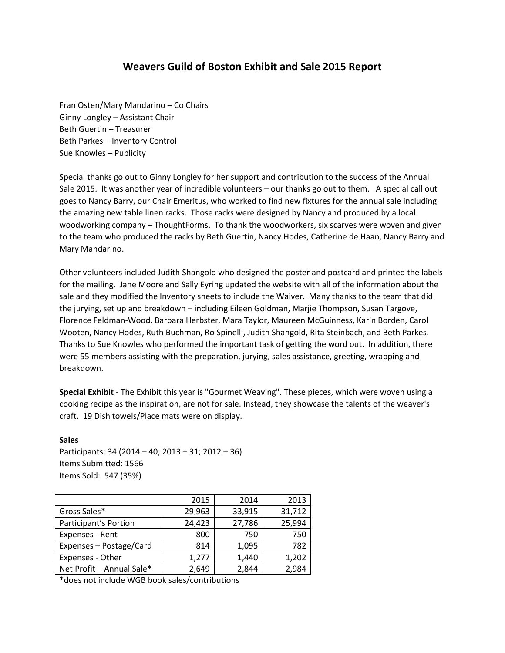# **Weavers Guild of Boston Exhibit and Sale 2015 Report**

Fran Osten/Mary Mandarino – Co Chairs Ginny Longley – Assistant Chair Beth Guertin – Treasurer Beth Parkes – Inventory Control Sue Knowles – Publicity

Special thanks go out to Ginny Longley for her support and contribution to the success of the Annual Sale 2015. It was another year of incredible volunteers – our thanks go out to them. A special call out goes to Nancy Barry, our Chair Emeritus, who worked to find new fixtures for the annual sale including the amazing new table linen racks. Those racks were designed by Nancy and produced by a local woodworking company – ThoughtForms. To thank the woodworkers, six scarves were woven and given to the team who produced the racks by Beth Guertin, Nancy Hodes, Catherine de Haan, Nancy Barry and Mary Mandarino.

Other volunteers included Judith Shangold who designed the poster and postcard and printed the labels for the mailing. Jane Moore and Sally Eyring updated the website with all of the information about the sale and they modified the Inventory sheets to include the Waiver. Many thanks to the team that did the jurying, set up and breakdown – including Eileen Goldman, Marjie Thompson, Susan Targove, Florence Feldman-Wood, Barbara Herbster, Mara Taylor, Maureen McGuinness, Karin Borden, Carol Wooten, Nancy Hodes, Ruth Buchman, Ro Spinelli, Judith Shangold, Rita Steinbach, and Beth Parkes. Thanks to Sue Knowles who performed the important task of getting the word out. In addition, there were 55 members assisting with the preparation, jurying, sales assistance, greeting, wrapping and breakdown.

**Special Exhibit** - The Exhibit this year is "Gourmet Weaving". These pieces, which were woven using a cooking recipe as the inspiration, are not for sale. Instead, they showcase the talents of the weaver's craft. 19 Dish towels/Place mats were on display.

**Sales**  Participants: 34 (2014 – 40; 2013 – 31; 2012 – 36) Items Submitted: 1566 Items Sold: 547 (35%)

|                           | 2015   | 2014   | 2013   |  |
|---------------------------|--------|--------|--------|--|
| Gross Sales*              | 29,963 | 33,915 | 31,712 |  |
| Participant's Portion     | 24,423 | 27,786 | 25,994 |  |
| Expenses - Rent           | 800    | 750    | 750    |  |
| Expenses - Postage/Card   | 814    | 1,095  | 782    |  |
| Expenses - Other          | 1,277  | 1,440  | 1,202  |  |
| Net Profit - Annual Sale* | 2,649  | 2,844  | 2,984  |  |

\*does not include WGB book sales/contributions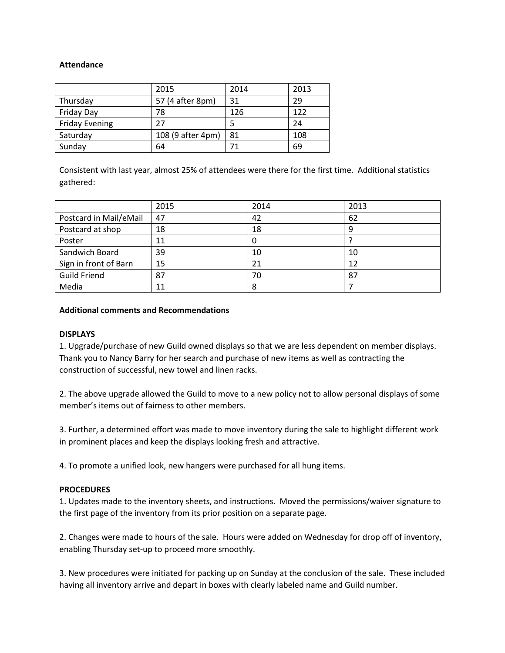## **Attendance**

|                       | 2015              | 2014 | 2013 |
|-----------------------|-------------------|------|------|
| Thursday              | 57 (4 after 8pm)  | 31   | 29   |
| Friday Day            | 78                | 126  | 122  |
| <b>Friday Evening</b> | 27                |      | 24   |
| Saturday              | 108 (9 after 4pm) | 81   | 108  |
| Sunday                | 64                |      | 69   |

Consistent with last year, almost 25% of attendees were there for the first time. Additional statistics gathered:

|                        | 2015 | 2014 | 2013 |
|------------------------|------|------|------|
| Postcard in Mail/eMail | 47   | 42   | 62   |
| Postcard at shop       | 18   | 18   |      |
| Poster                 | 11   | 0    |      |
| Sandwich Board         | 39   | 10   | 10   |
| Sign in front of Barn  | 15   | 21   | 12   |
| <b>Guild Friend</b>    | 87   | 70   | 87   |
| Media                  | 11   | 8    |      |

#### **Additional comments and Recommendations**

#### **DISPLAYS**

1. Upgrade/purchase of new Guild owned displays so that we are less dependent on member displays. Thank you to Nancy Barry for her search and purchase of new items as well as contracting the construction of successful, new towel and linen racks.

2. The above upgrade allowed the Guild to move to a new policy not to allow personal displays of some member's items out of fairness to other members.

3. Further, a determined effort was made to move inventory during the sale to highlight different work in prominent places and keep the displays looking fresh and attractive.

4. To promote a unified look, new hangers were purchased for all hung items.

# **PROCEDURES**

1. Updates made to the inventory sheets, and instructions. Moved the permissions/waiver signature to the first page of the inventory from its prior position on a separate page.

2. Changes were made to hours of the sale. Hours were added on Wednesday for drop off of inventory, enabling Thursday set-up to proceed more smoothly.

3. New procedures were initiated for packing up on Sunday at the conclusion of the sale. These included having all inventory arrive and depart in boxes with clearly labeled name and Guild number.